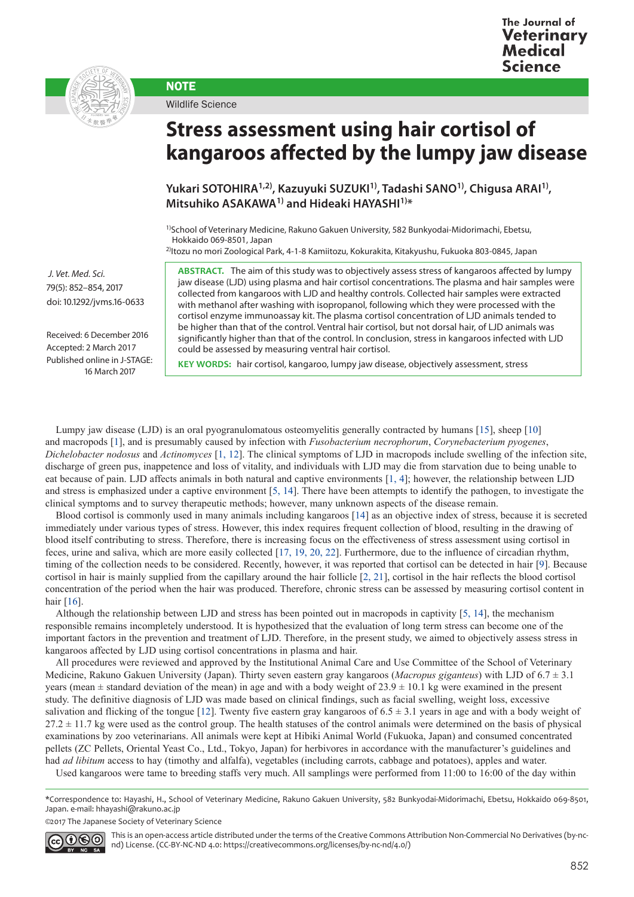



Wildlife Science

**NOTE** 

## **Stress assessment using hair cortisol of kangaroos affected by the lumpy jaw disease**

**Yukari SOTOHIRA1,2), Kazuyuki SUZUKI1), Tadashi SANO1), Chigusa ARAI1), Mitsuhiko ASAKAWA1) and Hideaki HAYASHI1)\***

1)School of Veterinary Medicine, Rakuno Gakuen University, 582 Bunkyodai-Midorimachi, Ebetsu, Hokkaido 069-8501, Japan

2)Itozu no mori Zoological Park, 4-1-8 Kamiitozu, Kokurakita, Kitakyushu, Fukuoka 803-0845, Japan

**ABSTRACT.** The aim of this study was to objectively assess stress of kangaroos affected by lumpy jaw disease (LJD) using plasma and hair cortisol concentrations. The plasma and hair samples were collected from kangaroos with LJD and healthy controls. Collected hair samples were extracted with methanol after washing with isopropanol, following which they were processed with the cortisol enzyme immunoassay kit. The plasma cortisol concentration of LJD animals tended to be higher than that of the control. Ventral hair cortisol, but not dorsal hair, of LJD animals was significantly higher than that of the control. In conclusion, stress in kangaroos infected with LJD could be assessed by measuring ventral hair cortisol.

 *J. Vet. Med. Sci.*  79(5): 852–854, 2017 doi: 10.1292/jvms.16-0633

Received: 6 December 2016 Accepted: 2 March 2017 Published online in J-STAGE: 16 March 2017

**KEY WORDS:** hair cortisol, kangaroo, lumpy jaw disease, objectively assessment, stress

Lumpy jaw disease (LJD) is an oral pyogranulomatous osteomyelitis generally contracted by humans [\[15\]](#page-2-0), sheep [[10](#page-2-1)] and macropods [[1\]](#page-2-2), and is presumably caused by infection with *Fusobacterium necrophorum*, *Corynebacterium pyogenes*, *Dichelobacter nodosus* and *Actinomyces* [[1, 12](#page-2-2)]. The clinical symptoms of LJD in macropods include swelling of the infection site, discharge of green pus, inappetence and loss of vitality, and individuals with LJD may die from starvation due to being unable to eat because of pain. LJD affects animals in both natural and captive environments [\[1, 4\]](#page-2-2); however, the relationship between LJD and stress is emphasized under a captive environment [\[5, 14](#page-2-3)]. There have been attempts to identify the pathogen, to investigate the clinical symptoms and to survey therapeutic methods; however, many unknown aspects of the disease remain.

Blood cortisol is commonly used in many animals including kangaroos [[14](#page-2-4)] as an objective index of stress, because it is secreted immediately under various types of stress. However, this index requires frequent collection of blood, resulting in the drawing of blood itself contributing to stress. Therefore, there is increasing focus on the effectiveness of stress assessment using cortisol in feces, urine and saliva, which are more easily collected [[17, 19, 20, 22](#page-2-5)]. Furthermore, due to the influence of circadian rhythm, timing of the collection needs to be considered. Recently, however, it was reported that cortisol can be detected in hair [\[9](#page-2-6)]. Because cortisol in hair is mainly supplied from the capillary around the hair follicle [\[2, 21\]](#page-2-7), cortisol in the hair reflects the blood cortisol concentration of the period when the hair was produced. Therefore, chronic stress can be assessed by measuring cortisol content in hair [\[16\]](#page-2-8).

Although the relationship between LJD and stress has been pointed out in macropods in captivity [[5, 14](#page-2-3)], the mechanism responsible remains incompletely understood. It is hypothesized that the evaluation of long term stress can become one of the important factors in the prevention and treatment of LJD. Therefore, in the present study, we aimed to objectively assess stress in kangaroos affected by LJD using cortisol concentrations in plasma and hair.

All procedures were reviewed and approved by the Institutional Animal Care and Use Committee of the School of Veterinary Medicine, Rakuno Gakuen University (Japan). Thirty seven eastern gray kangaroos (*Macropus giganteus*) with LJD of 6.7 ± 3.1 years (mean  $\pm$  standard deviation of the mean) in age and with a body weight of 23.9  $\pm$  10.1 kg were examined in the present study. The definitive diagnosis of LJD was made based on clinical findings, such as facial swelling, weight loss, excessive salivation and flicking of the tongue [\[12\]](#page-2-9). Twenty five eastern gray kangaroos of  $6.5 \pm 3.1$  years in age and with a body weight of  $27.2 \pm 11.7$  kg were used as the control group. The health statuses of the control animals were determined on the basis of physical examinations by zoo veterinarians. All animals were kept at Hibiki Animal World (Fukuoka, Japan) and consumed concentrated pellets (ZC Pellets, Oriental Yeast Co., Ltd., Tokyo, Japan) for herbivores in accordance with the manufacturer's guidelines and had *ad libitum* access to hay (timothy and alfalfa), vegetables (including carrots, cabbage and potatoes), apples and water.

Used kangaroos were tame to breeding staffs very much. All samplings were performed from 11:00 to 16:00 of the day within

\*Correspondence to: Hayashi, H., School of Veterinary Medicine, Rakuno Gakuen University, 582 Bunkyodai-Midorimachi, Ebetsu, Hokkaido 069-8501, Japan. e-mail: hhayashi@rakuno.ac.jp

©2017 The Japanese Society of Veterinary Science



This is an open-access article distributed under the terms of the Creative Commons Attribution Non-Commercial No Derivatives (by-ncnd) License. (CC-BY-NC-ND 4.0: [https://creativecommons.org/licenses/by-nc-nd/4.0/\)](https://creativecommons.org/licenses/by-nc-nd/4.0/)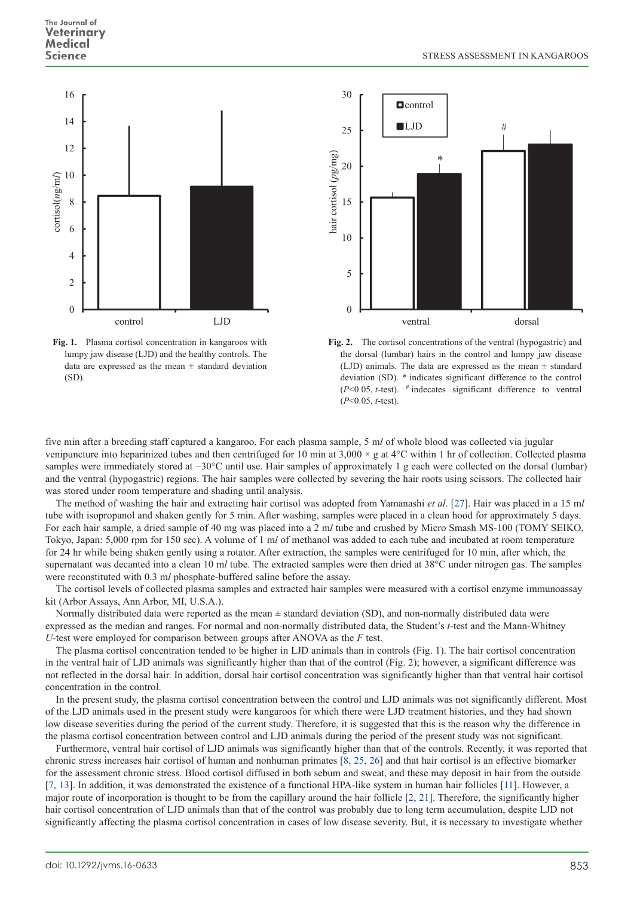

**Fig. 1.** Plasma cortisol concentration in kangaroos with lumpy jaw disease (LJD) and the healthy controls. The data are expressed as the mean  $\pm$  standard deviation (SD).



**Fig. 2.** The cortisol concentrations of the ventral (hypogastric) and the dorsal (lumbar) hairs in the control and lumpy jaw disease (LJD) animals. The data are expressed as the mean  $\pm$  standard deviation (SD). \* indicates significant difference to the control  $(P<0.05, t$ -test).  $\#$  indecates significant difference to ventral (*P*<0.05, *t*-test).

five min after a breeding staff captured a kangaroo. For each plasma sample, 5 m*l* of whole blood was collected via jugular venipuncture into heparinized tubes and then centrifuged for 10 min at  $3,000 \times$  g at  $4^{\circ}$ C within 1 hr of collection. Collected plasma samples were immediately stored at −30°C until use. Hair samples of approximately 1 g each were collected on the dorsal (lumbar) and the ventral (hypogastric) regions. The hair samples were collected by severing the hair roots using scissors. The collected hair was stored under room temperature and shading until analysis.

The method of washing the hair and extracting hair cortisol was adopted from Yamanashi *et al*. [[27](#page-2-10)]. Hair was placed in a 15 m*l* tube with isopropanol and shaken gently for 5 min. After washing, samples were placed in a clean hood for approximately 5 days. For each hair sample, a dried sample of 40 mg was placed into a 2 m*l* tube and crushed by Micro Smash MS-100 (TOMY SEIKO, Tokyo, Japan: 5,000 rpm for 150 sec). A volume of 1 m*l* of methanol was added to each tube and incubated at room temperature for 24 hr while being shaken gently using a rotator. After extraction, the samples were centrifuged for 10 min, after which, the supernatant was decanted into a clean 10 m*l* tube. The extracted samples were then dried at 38°C under nitrogen gas. The samples were reconstituted with 0.3 m*l* phosphate-buffered saline before the assay.

The cortisol levels of collected plasma samples and extracted hair samples were measured with a cortisol enzyme immunoassay kit (Arbor Assays, Ann Arbor, MI, U.S.A.).

Normally distributed data were reported as the mean  $\pm$  standard deviation (SD), and non-normally distributed data were expressed as the median and ranges. For normal and non-normally distributed data, the Student's *t*-test and the Mann-Whitney *U*-test were employed for comparison between groups after ANOVA as the *F* test.

The plasma cortisol concentration tended to be higher in LJD animals than in controls (Fig. 1). The hair cortisol concentration in the ventral hair of LJD animals was significantly higher than that of the control (Fig. 2); however, a significant difference was not reflected in the dorsal hair. In addition, dorsal hair cortisol concentration was significantly higher than that ventral hair cortisol concentration in the control.

In the present study, the plasma cortisol concentration between the control and LJD animals was not significantly different. Most of the LJD animals used in the present study were kangaroos for which there were LJD treatment histories, and they had shown low disease severities during the period of the current study. Therefore, it is suggested that this is the reason why the difference in the plasma cortisol concentration between control and LJD animals during the period of the present study was not significant.

Furthermore, ventral hair cortisol of LJD animals was significantly higher than that of the controls. Recently, it was reported that chronic stress increases hair cortisol of human and nonhuman primates [[8, 25, 26\]](#page-2-11) and that hair cortisol is an effective biomarker for the assessment chronic stress. Blood cortisol diffused in both sebum and sweat, and these may deposit in hair from the outside [[7, 13](#page-2-12)]. In addition, it was demonstrated the existence of a functional HPA-like system in human hair follicles [\[11](#page-2-13)]. However, a major route of incorporation is thought to be from the capillary around the hair follicle [[2, 21](#page-2-7)]. Therefore, the significantly higher hair cortisol concentration of LJD animals than that of the control was probably due to long term accumulation, despite LJD not significantly affecting the plasma cortisol concentration in cases of low disease severity. But, it is necessary to investigate whether